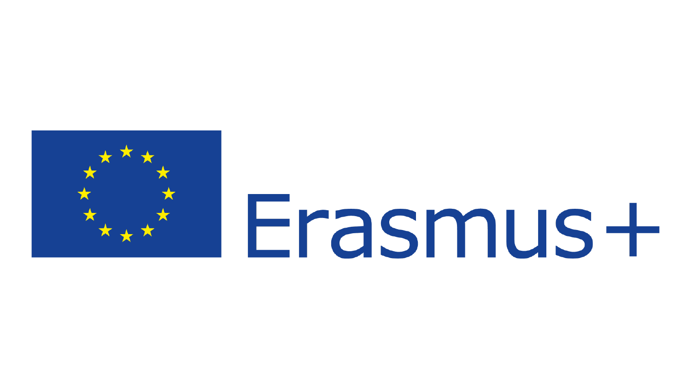

# Erasmus+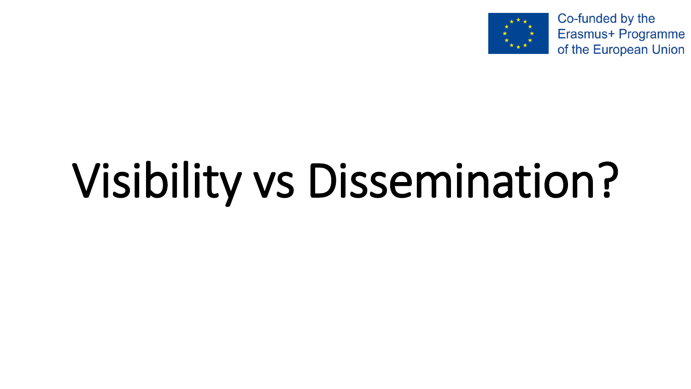

Co-funded by the Erasmus+ Programme of the European Union

## Visibility vs Dissemination?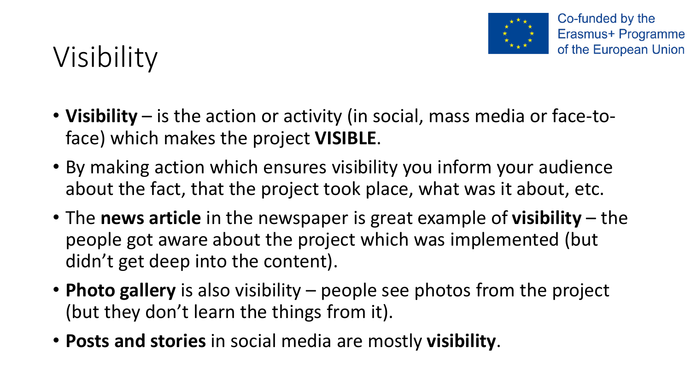

### Visibility

- **Visibility** is the action or activity (in social, mass media or face-toface) which makes the project **VISIBLE**.
- By making action which ensures visibility you inform your audience about the fact, that the project took place, what was it about, etc.
- The **news article** in the newspaper is great example of **visibility** the people got aware about the project which was implemented (but didn't get deep into the content).
- **Photo gallery** is also visibility people see photos from the project (but they don't learn the things from it).
- **Posts and stories** in social media are mostly **visibility**.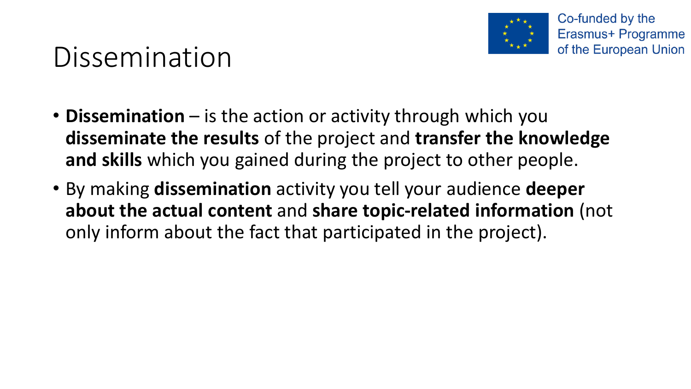

### Dissemination

- **Dissemination** is the action or activity through which you **disseminate the results** of the project and **transfer the knowledge and skills** which you gained during the project to other people.
- By making **dissemination** activity you tell your audience **deeper about the actual content** and **share topic-related information** (not only inform about the fact that participated in the project).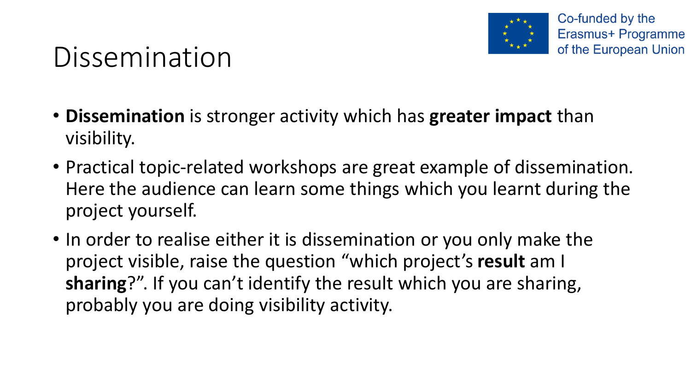

### Dissemination

- **Dissemination** is stronger activity which has **greater impact** than visibility.
- Practical topic-related workshops are great example of dissemination. Here the audience can learn some things which you learnt during the project yourself.
- In order to realise either it is dissemination or you only make the project visible, raise the question "which project's **result** am I **sharing**?". If you can't identify the result which you are sharing, probably you are doing visibility activity.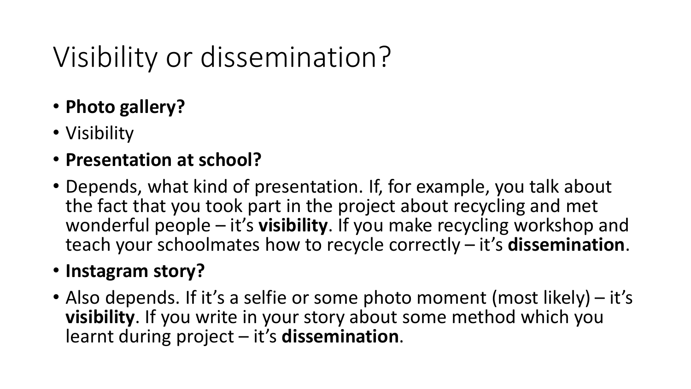### Visibility or dissemination?

- **Photo gallery?**
- Visibility
- **Presentation at school?**
- Depends, what kind of presentation. If, for example, you talk about the fact that you took part in the project about recycling and met wonderful people – it's **visibility**. If you make recycling workshop and teach your schoolmates how to recycle correctly – it's **dissemination**.

#### • **Instagram story?**

• Also depends. If it's a selfie or some photo moment (most likely) – it's **visibility**. If you write in your story about some method which you learnt during project – it's **dissemination**.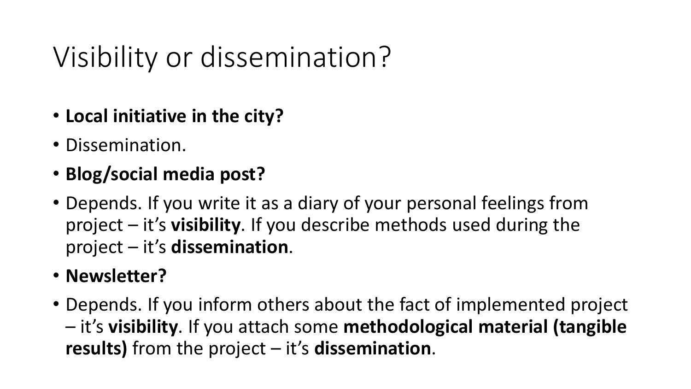### Visibility or dissemination?

- **Local initiative in the city?**
- Dissemination.
- **Blog/social media post?**
- Depends. If you write it as a diary of your personal feelings from project – it's **visibility**. If you describe methods used during the project – it's **dissemination**.
- **Newsletter?**
- Depends. If you inform others about the fact of implemented project – it's **visibility**. If you attach some **methodological material (tangible results)** from the project – it's **dissemination**.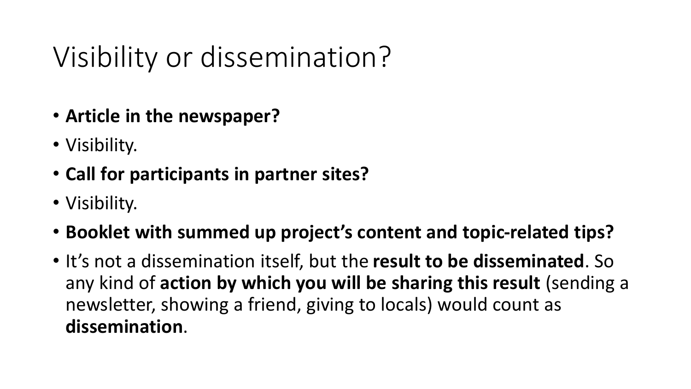### Visibility or dissemination?

- **Article in the newspaper?**
- Visibility.
- **Call for participants in partner sites?**
- Visibility.
- **Booklet with summed up project's content and topic-related tips?**
- It's not a dissemination itself, but the **result to be disseminated**. So any kind of **action by which you will be sharing this result** (sending a newsletter, showing a friend, giving to locals) would count as **dissemination**.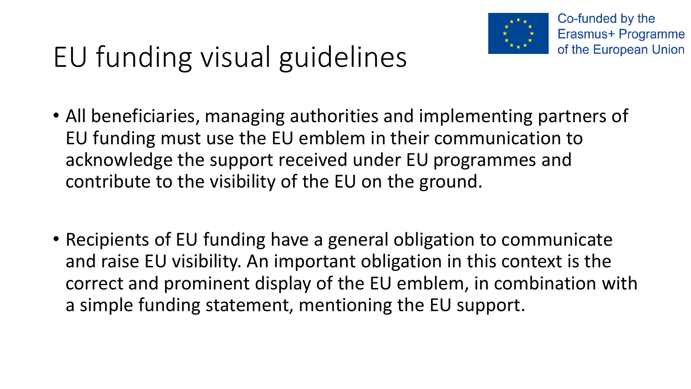

Co-funded by the Erasmus+ Programme of the European Union

- All beneficiaries, managing authorities and implementing partners of EU funding must use the EU emblem in their communication to acknowledge the support received under EU programmes and contribute to the visibility of the EU on the ground.
- Recipients of EU funding have a general obligation to communicate and raise EU visibility. An important obligation in this context is the correct and prominent display of the EU emblem, in combination with a simple funding statement, mentioning the EU support.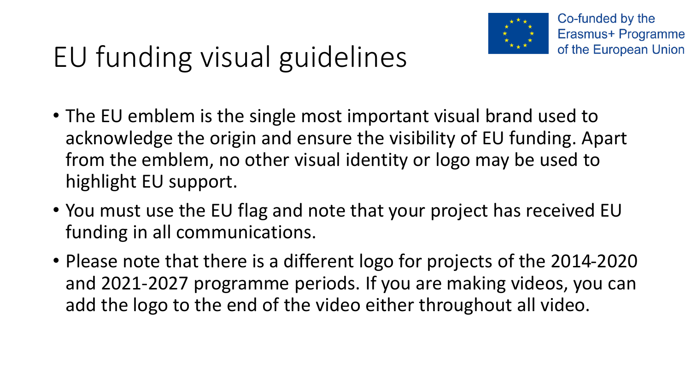

Co-funded by the Erasmus+ Programme of the European Union

- The EU emblem is the single most important visual brand used to acknowledge the origin and ensure the visibility of EU funding. Apart from the emblem, no other visual identity or logo may be used to highlight EU support.
- You must use the EU flag and note that your project has received EU funding in all communications.
- Please note that there is a different logo for projects of the 2014-2020 and 2021-2027 programme periods. If you are making videos, you can add the logo to the end of the video either throughout all video.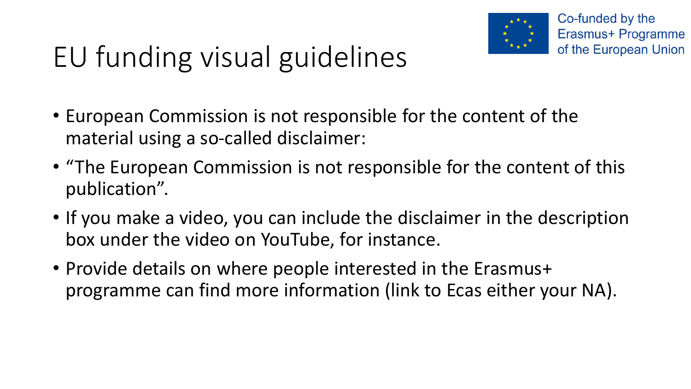

- European Commission is not responsible for the content of the material using a so-called disclaimer:
- "The European Commission is not responsible for the content of this publication".
- If you make a video, you can include the disclaimer in the description box under the video on YouTube, for instance.
- Provide details on where people interested in the Erasmus+ programme can find more information (link to Ecas either your NA).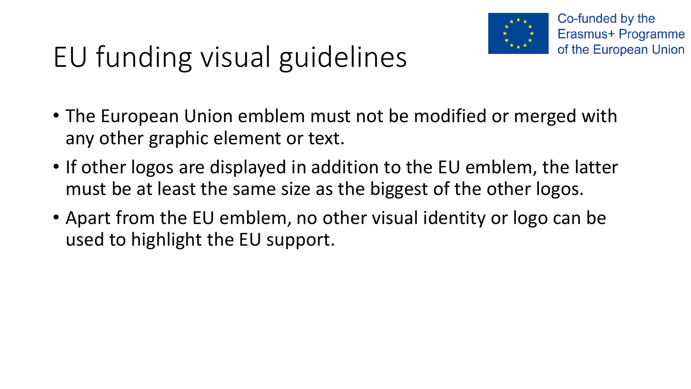

- The European Union emblem must not be modified or merged with any other graphic element or text.
- If other logos are displayed in addition to the EU emblem, the latter must be at least the same size as the biggest of the other logos.
- Apart from the EU emblem, no other visual identity or logo can be used to highlight the EU support.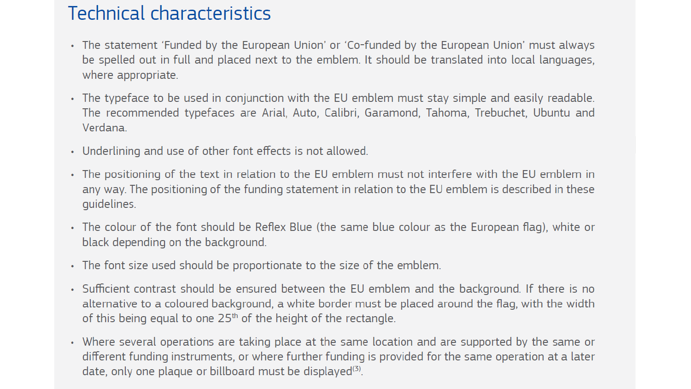#### **Technical characteristics**

- The statement 'Funded by the European Union' or 'Co-funded by the European Union' must always be spelled out in full and placed next to the emblem. It should be translated into local languages, where appropriate.
- The typeface to be used in conjunction with the EU emblem must stay simple and easily readable. The recommended typefaces are Arial, Auto, Calibri, Garamond, Tahoma, Trebuchet, Ubuntu and Verdana.
- Underlining and use of other font effects is not allowed.
- The positioning of the text in relation to the EU emblem must not interfere with the EU emblem in any way. The positioning of the funding statement in relation to the EU emblem is described in these quidelines.
- The colour of the font should be Reflex Blue (the same blue colour as the European flag), white or black depending on the background.
- The font size used should be proportionate to the size of the emblem.
- Sufficient contrast should be ensured between the EU emblem and the background. If there is no alternative to a coloured background, a white border must be placed around the flag, with the width of this being equal to one  $25<sup>th</sup>$  of the height of the rectangle.
- Where several operations are taking place at the same location and are supported by the same or different funding instruments, or where further funding is provided for the same operation at a later date, only one plaque or billboard must be displayed<sup>(3)</sup>.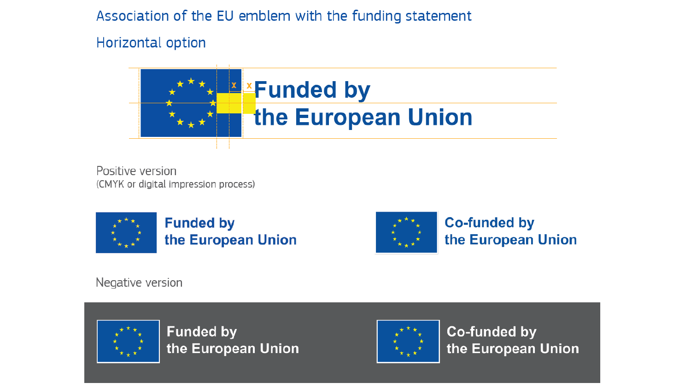Association of the EU emblem with the funding statement

Horizontal option



Positive version (CMYK or digital impression process)





**Co-funded by** the European Union

Negative version



**Funded by** the European Union



**Co-funded by** the European Union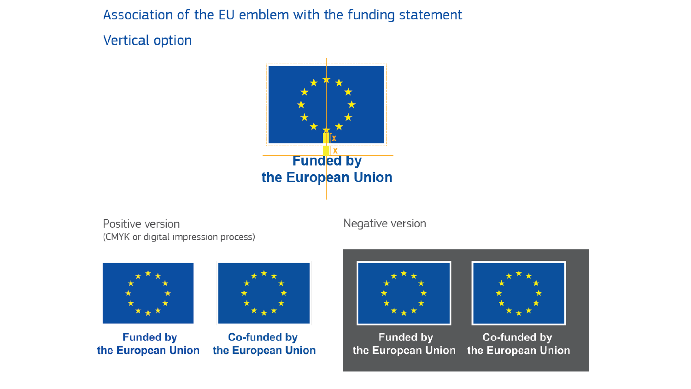Association of the EU emblem with the funding statement

Vertical option



Positive version (CMYK or digital impression process) Negative version



**Funded by** the European Union



**Co-funded by** the European Union



**Funded by** 



Co-funded by the European Union the European Union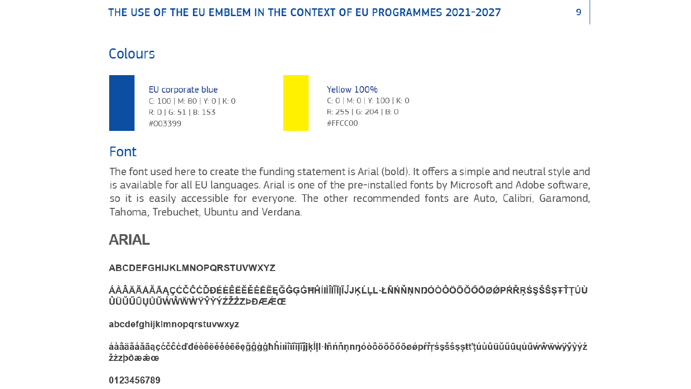#### Colours



#### Font

The font used here to create the funding statement is Arial (bold). It offers a simple and neutral style and is available for all EU languages. Arial is one of the pre-installed fonts by Microsoft and Adobe software, so it is easily accessible for everyone. The other recommended fonts are Auto, Calibri, Garamond, Tahoma, Trebuchet, Ubuntu and Verdana.

#### **ARIAL**

#### ABCDEFGHIJKLMNOPQRSTUVWXYZ

ÛÜŬŰŪŲŮŨŴŴŴŴŸŶŶÝŹŽŻZÞĐÆÆŒ

abcdefghijklmnopqrstuvwxyz

áàâääåǎāąçćčĉċďđéèêëĕěĕēēęǧĝģģħĥíıìîiĭījĩĵjķĺḷŀłñńňnnŋóòôöõõõøøpŕřŗśşšŝṣṣŧťţúùûüŭũųůũẃŵẅẁÿŷỳýź žizbðæææ

0123456789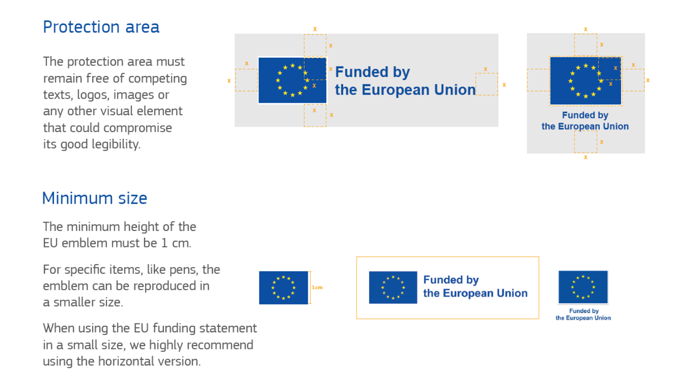#### Protection area

The protection area must remain free of competing texts, logos, images or any other visual element that could compromise its good legibility.





#### Minimum size

The minimum height of the EU emblem must be 1 cm.

For specific items, like pens, the emblem can be reproduced in a smaller size



When using the EU funding statement in a small size, we highly recommend using the horizontal version.





**Funded by** the European Union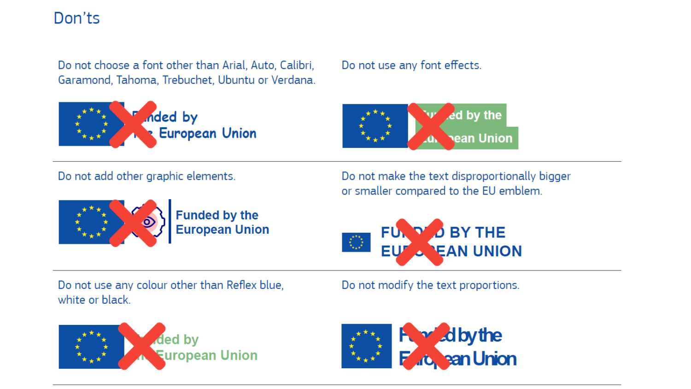#### Don'ts

Do not choose a font other than Arial, Auto, Calibri, Garamond, Tahoma, Trebuchet, Ubuntu or Verdana.



#### Do not use any font effects.



Do not add other graphic elements.

Do not make the text disproportionally bigger or smaller compared to the EU emblem.



**Funded by the<br>European Union** 



Do not use any colour other than Reflex blue, white or black.

Do not modify the text proportions.



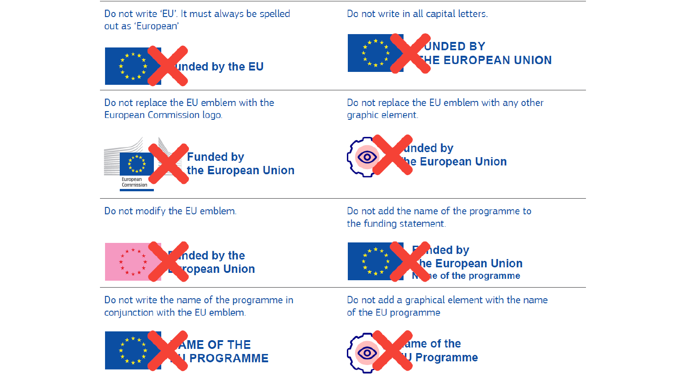Do not write 'EU'. It must always be spelled out as 'European'



Do not write in all capital letters.



Do not replace the EU emblem with the European Commission logo.



Do not replace the EU emblem with any other graphic element.



Do not modify the EU emblem.



Do not write the name of the programme in conjunction with the EU emblem.



Do not add the name of the programme to the funding statement.



**The European Union** ne of the programme

Do not add a graphical element with the name of the EU programme

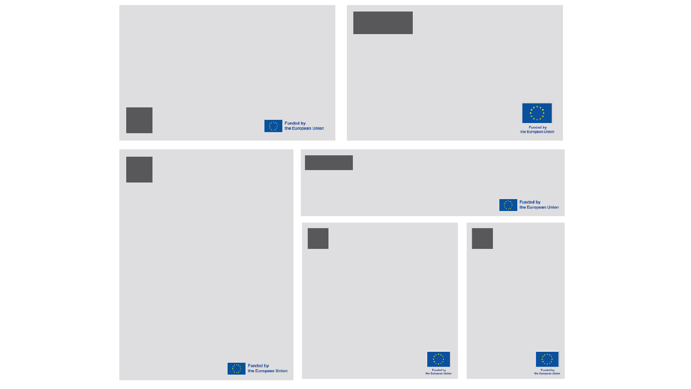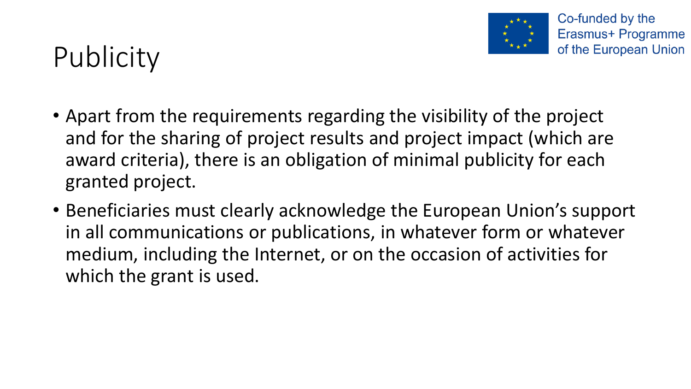

### **Publicity**

- Apart from the requirements regarding the visibility of the project and for the sharing of project results and project impact (which are award criteria), there is an obligation of minimal publicity for each granted project.
- Beneficiaries must clearly acknowledge the European Union's support in all communications or publications, in whatever form or whatever medium, including the Internet, or on the occasion of activities for which the grant is used.